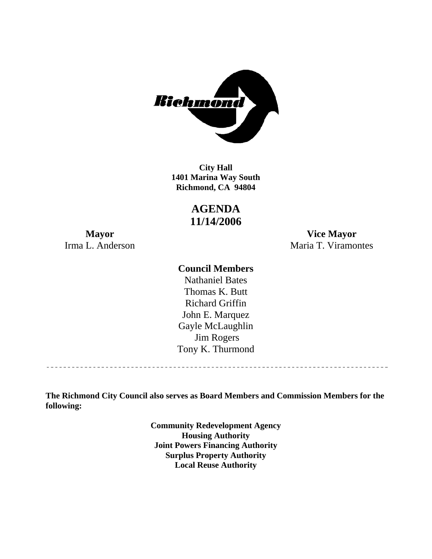

**1401 Marina Way South Richmond, CA 94804 City Hall** 

# **AGENDA 11/14/2006**

**Mayor Vice Mayor**  Irma L. Anderson Maria T. Viramontes

## **Council Members**

Gayle McLaughlin Jim Rogers Tony K. Thurmond Nathaniel Bates Thomas K. Butt Richard Griffin John E. Marquez

**The Richmond City Council also serves as Board Members and Commission Members for the following:** 

> **Community Redevelopment Agency Housing Authority Joint Powers Financing Authority Surplus Property Authority Local Reuse Authority**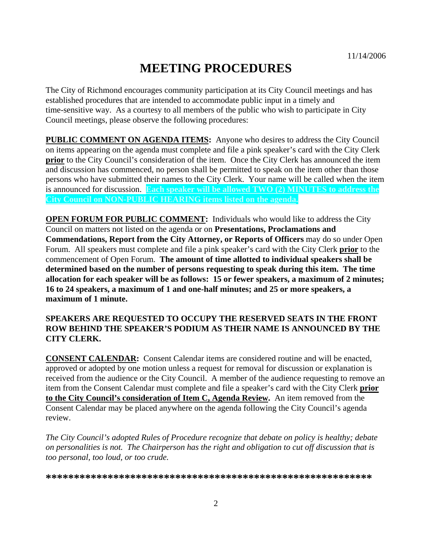# **MEETING PROCEDURES**

The City of Richmond encourages community participation at its City Council meetings and has established procedures that are intended to accommodate public input in a timely and time-sensitive way. As a courtesy to all members of the public who wish to participate in City Council meetings, please observe the following procedures:

**PUBLIC COMMENT ON AGENDA ITEMS:** Anyone who desires to address the City Council on items appearing on the agenda must complete and file a pink speaker's card with the City Clerk **prior** to the City Council's consideration of the item. Once the City Clerk has announced the item and discussion has commenced, no person shall be permitted to speak on the item other than those persons who have submitted their names to the City Clerk. Your name will be called when the item is announced for discussion. **Each speaker will be allowed TWO (2) MINUTES to address the City Council on NON-PUBLIC HEARING items listed on the agenda.** 

**OPEN FORUM FOR PUBLIC COMMENT:** Individuals who would like to address the City Council on matters not listed on the agenda or on **Presentations, Proclamations and Commendations, Report from the City Attorney, or Reports of Officers** may do so under Open Forum. All speakers must complete and file a pink speaker's card with the City Clerk **prior** to the commencement of Open Forum. **The amount of time allotted to individual speakers shall be determined based on the number of persons requesting to speak during this item. The time allocation for each speaker will be as follows: 15 or fewer speakers, a maximum of 2 minutes; 16 to 24 speakers, a maximum of 1 and one-half minutes; and 25 or more speakers, a maximum of 1 minute.** 

#### **SPEAKERS ARE REQUESTED TO OCCUPY THE RESERVED SEATS IN THE FRONT ROW BEHIND THE SPEAKER'S PODIUM AS THEIR NAME IS ANNOUNCED BY THE CITY CLERK.**

**CONSENT CALENDAR:** Consent Calendar items are considered routine and will be enacted, approved or adopted by one motion unless a request for removal for discussion or explanation is received from the audience or the City Council. A member of the audience requesting to remove an item from the Consent Calendar must complete and file a speaker's card with the City Clerk **prior to the City Council's consideration of Item C, Agenda Review.** An item removed from the Consent Calendar may be placed anywhere on the agenda following the City Council's agenda review.

*The City Council's adopted Rules of Procedure recognize that debate on policy is healthy; debate on personalities is not. The Chairperson has the right and obligation to cut off discussion that is too personal, too loud, or too crude.* 

**\*\*\*\*\*\*\*\*\*\*\*\*\*\*\*\*\*\*\*\*\*\*\*\*\*\*\*\*\*\*\*\*\*\*\*\*\*\*\*\*\*\*\*\*\*\*\*\*\*\*\*\*\*\*\*\*\*\***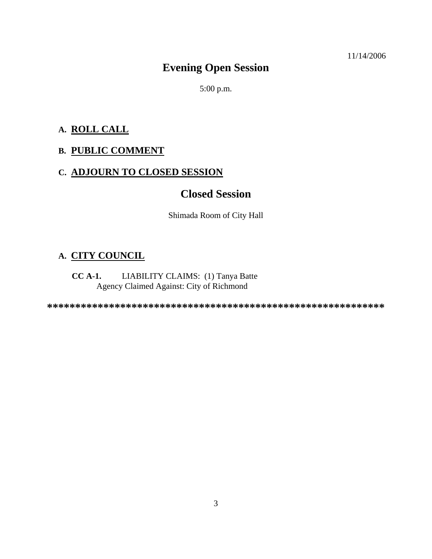11/14/2006

# **Evening Open Session**

5:00 p.m.

## **A. ROLL CALL**

## **B. PUBLIC COMMENT**

## **C. ADJOURN TO CLOSED SESSION**

## **Closed Session**

Shimada Room of City Hall

## **A. CITY COUNCIL**

#### **CC A-1.** LIABILITY CLAIMS: (1) Tanya Batte Agency Claimed Against: City of Richmond

**\*\*\*\*\*\*\*\*\*\*\*\*\*\*\*\*\*\*\*\*\*\*\*\*\*\*\*\*\*\*\*\*\*\*\*\*\*\*\*\*\*\*\*\*\*\*\*\*\*\*\*\*\*\*\*\*\*\*\*\***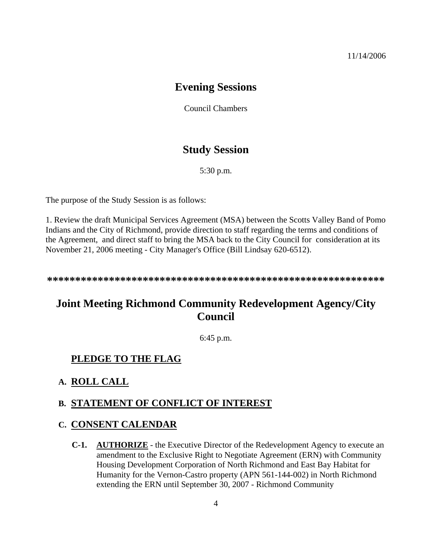## **Evening Sessions**

Council Chambers

## **Study Session**

5:30 p.m.

The purpose of the Study Session is as follows:

1. Review the draft Municipal Services Agreement (MSA) between the Scotts Valley Band of Pomo Indians and the City of Richmond, provide direction to staff regarding the terms and conditions of the Agreement, and direct staff to bring the MSA back to the City Council for consideration at its November 21, 2006 meeting - City Manager's Office (Bill Lindsay 620-6512).

**\*\*\*\*\*\*\*\*\*\*\*\*\*\*\*\*\*\*\*\*\*\*\*\*\*\*\*\*\*\*\*\*\*\*\*\*\*\*\*\*\*\*\*\*\*\*\*\*\*\*\*\*\*\*\*\*\*\*\*\*** 

# **Joint Meeting Richmond Community Redevelopment Agency/City Council**

6:45 p.m.

#### **PLEDGE TO THE FLAG**

#### **A. ROLL CALL**

#### **B. STATEMENT OF CONFLICT OF INTEREST**

#### **C. CONSENT CALENDAR**

**C-1. AUTHORIZE** - the Executive Director of the Redevelopment Agency to execute an amendment to the Exclusive Right to Negotiate Agreement (ERN) with Community Housing Development Corporation of North Richmond and East Bay Habitat for Humanity for the Vernon-Castro property (APN 561-144-002) in North Richmond extending the ERN until September 30, 2007 - Richmond Community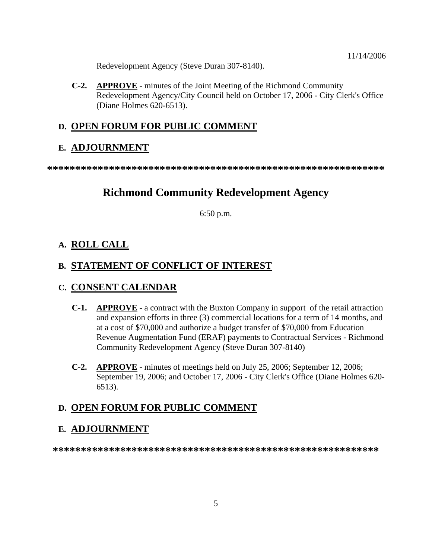Redevelopment Agency (Steve Duran 307-8140).

**C-2. APPROVE** - minutes of the Joint Meeting of the Richmond Community Redevelopment Agency/City Council held on October 17, 2006 - City Clerk's Office (Diane Holmes 620-6513).

#### **D. OPEN FORUM FOR PUBLIC COMMENT**

#### **E. ADJOURNMENT**

**\*\*\*\*\*\*\*\*\*\*\*\*\*\*\*\*\*\*\*\*\*\*\*\*\*\*\*\*\*\*\*\*\*\*\*\*\*\*\*\*\*\*\*\*\*\*\*\*\*\*\*\*\*\*\*\*\*\*\*\*** 

## **Richmond Community Redevelopment Agency**

6:50 p.m.

#### **A. ROLL CALL**

## **B. STATEMENT OF CONFLICT OF INTEREST**

#### **C. CONSENT CALENDAR**

- **C-1. APPROVE** a contract with the Buxton Company in support of the retail attraction and expansion efforts in three (3) commercial locations for a term of 14 months, and at a cost of \$70,000 and authorize a budget transfer of \$70,000 from Education Revenue Augmentation Fund (ERAF) payments to Contractual Services - Richmond Community Redevelopment Agency (Steve Duran 307-8140)
- **C-2. APPROVE** minutes of meetings held on July 25, 2006; September 12, 2006; September 19, 2006; and October 17, 2006 - City Clerk's Office (Diane Holmes 620- 6513).

#### **D. OPEN FORUM FOR PUBLIC COMMENT**

#### **E. ADJOURNMENT**

**\*\*\*\*\*\*\*\*\*\*\*\*\*\*\*\*\*\*\*\*\*\*\*\*\*\*\*\*\*\*\*\*\*\*\*\*\*\*\*\*\*\*\*\*\*\*\*\*\*\*\*\*\*\*\*\*\*\***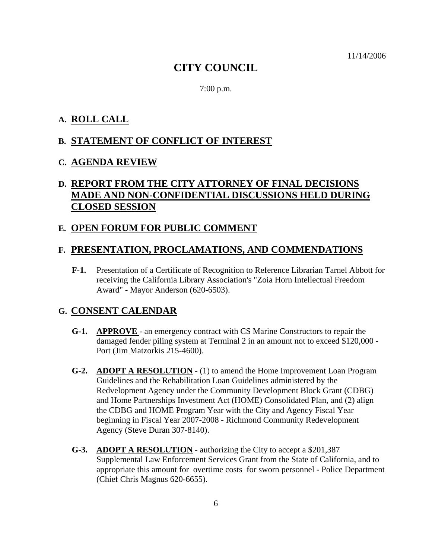11/14/2006

## **CITY COUNCIL**

7:00 p.m.

## **A. ROLL CALL**

## **B. STATEMENT OF CONFLICT OF INTEREST**

#### **C. AGENDA REVIEW**

## **D. REPORT FROM THE CITY ATTORNEY OF FINAL DECISIONS MADE AND NON-CONFIDENTIAL DISCUSSIONS HELD DURING CLOSED SESSION**

#### **E. OPEN FORUM FOR PUBLIC COMMENT**

#### **F. PRESENTATION, PROCLAMATIONS, AND COMMENDATIONS**

**F-1.** Presentation of a Certificate of Recognition to Reference Librarian Tarnel Abbott for receiving the California Library Association's "Zoia Horn Intellectual Freedom Award" - Mayor Anderson (620-6503).

#### **G. CONSENT CALENDAR**

- **G-1. APPROVE**  an emergency contract with CS Marine Constructors to repair the damaged fender piling system at Terminal 2 in an amount not to exceed \$120,000 - Port (Jim Matzorkis 215-4600).
- **G-2. ADOPT A RESOLUTION** (1) to amend the Home Improvement Loan Program Guidelines and the Rehabilitation Loan Guidelines administered by the Redvelopment Agency under the Community Development Block Grant (CDBG) and Home Partnerships Investment Act (HOME) Consolidated Plan, and (2) align the CDBG and HOME Program Year with the City and Agency Fiscal Year beginning in Fiscal Year 2007-2008 - Richmond Community Redevelopment Agency (Steve Duran 307-8140).
- **G-3. ADOPT A RESOLUTION** authorizing the City to accept a \$201,387 Supplemental Law Enforcement Services Grant from the State of California, and to appropriate this amount for overtime costs for sworn personnel - Police Department (Chief Chris Magnus 620-6655).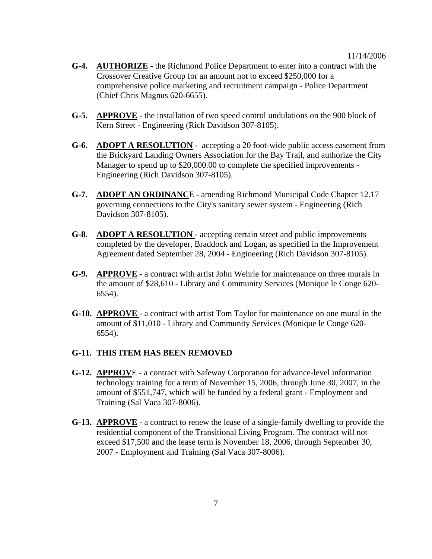#### 11/14/2006

- **G-4. AUTHORIZE** the Richmond Police Department to enter into a contract with the Crossover Creative Group for an amount not to exceed \$250,000 for a comprehensive police marketing and recruitment campaign - Police Department (Chief Chris Magnus 620-6655).
- **G-5. APPROVE** the installation of two speed control undulations on the 900 block of Kern Street - Engineering (Rich Davidson 307-8105).
- **G-6. ADOPT A RESOLUTION** accepting a 20 foot-wide public access easement from the Brickyard Landing Owners Association for the Bay Trail, and authorize the City Manager to spend up to \$20,000.00 to complete the specified improvements - Engineering (Rich Davidson 307-8105).
- **G-7. ADOPT AN ORDINANC**E amending Richmond Municipal Code Chapter 12.17 governing connections to the City's sanitary sewer system - Engineering (Rich Davidson 307-8105).
- **G-8. ADOPT A RESOLUTION**  accepting certain street and public improvements completed by the developer, Braddock and Logan, as specified in the Improvement Agreement dated September 28, 2004 - Engineering (Rich Davidson 307-8105).
- **G-9. APPROVE** a contract with artist John Wehrle for maintenance on three murals in the amount of \$28,610 - Library and Community Services (Monique le Conge 620- 6554).
- **G-10. APPROVE**  a contract with artist Tom Taylor for maintenance on one mural in the amount of \$11,010 - Library and Community Services (Monique le Conge 620- 6554).

#### **G-11. THIS ITEM HAS BEEN REMOVED**

- **G-12. APPROV**E a contract with Safeway Corporation for advance-level information technology training for a term of November 15, 2006, through June 30, 2007, in the amount of \$551,747, which will be funded by a federal grant - Employment and Training (Sal Vaca 307-8006).
- **G-13. APPROVE** a contract to renew the lease of a single-family dwelling to provide the residential component of the Transitional Living Program. The contract will not exceed \$17,500 and the lease term is November 18, 2006, through September 30, 2007 - Employment and Training (Sal Vaca 307-8006).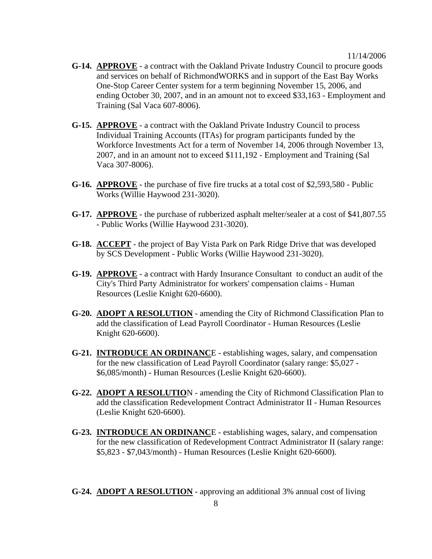- **G-14. APPROVE** a contract with the Oakland Private Industry Council to procure goods and services on behalf of RichmondWORKS and in support of the East Bay Works One-Stop Career Center system for a term beginning November 15, 2006, and ending October 30, 2007, and in an amount not to exceed \$33,163 - Employment and Training (Sal Vaca 607-8006).
- **G-15. APPROVE** a contract with the Oakland Private Industry Council to process Individual Training Accounts (ITAs) for program participants funded by the Workforce Investments Act for a term of November 14, 2006 through November 13, 2007, and in an amount not to exceed \$111,192 - Employment and Training (Sal Vaca 307-8006).
- **G-16. APPROVE** the purchase of five fire trucks at a total cost of \$2,593,580 Public Works (Willie Haywood 231-3020).
- **G-17. APPROVE** the purchase of rubberized asphalt melter/sealer at a cost of \$41,807.55 - Public Works (Willie Haywood 231-3020).
- **G-18. ACCEPT** the project of Bay Vista Park on Park Ridge Drive that was developed by SCS Development - Public Works (Willie Haywood 231-3020).
- **G-19. APPROVE** a contract with Hardy Insurance Consultant to conduct an audit of the City's Third Party Administrator for workers' compensation claims - Human Resources (Leslie Knight 620-6600).
- **G-20. ADOPT A RESOLUTION** amending the City of Richmond Classification Plan to add the classification of Lead Payroll Coordinator - Human Resources (Leslie Knight 620-6600).
- **G-21. INTRODUCE AN ORDINANC**E establishing wages, salary, and compensation for the new classification of Lead Payroll Coordinator (salary range: \$5,027 - \$6,085/month) - Human Resources (Leslie Knight 620-6600).
- **G-22. ADOPT A RESOLUTIO**N amending the City of Richmond Classification Plan to add the classification Redevelopment Contract Administrator II - Human Resources (Leslie Knight 620-6600).
- **G-23. INTRODUCE AN ORDINANC**E establishing wages, salary, and compensation for the new classification of Redevelopment Contract Administrator II (salary range: \$5,823 - \$7,043/month) - Human Resources (Leslie Knight 620-6600).
- **G-24. ADOPT A RESOLUTION** approving an additional 3% annual cost of living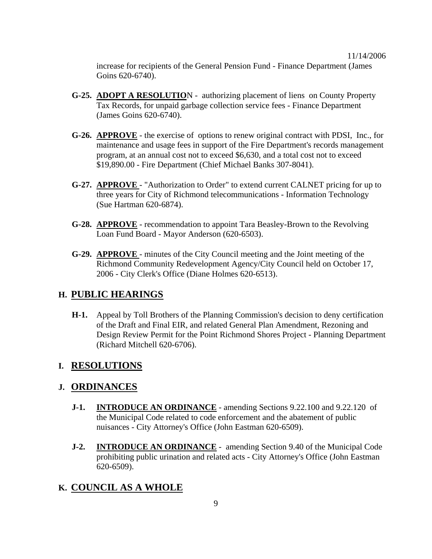increase for recipients of the General Pension Fund - Finance Department (James Goins 620-6740).

- **G-25. ADOPT A RESOLUTIO**N authorizing placement of liens on County Property Tax Records, for unpaid garbage collection service fees - Finance Department (James Goins 620-6740).
- **G-26. APPROVE** the exercise of options to renew original contract with PDSI, Inc., for maintenance and usage fees in support of the Fire Department's records management program, at an annual cost not to exceed \$6,630, and a total cost not to exceed \$19,890.00 - Fire Department (Chief Michael Banks 307-8041).
- **G-27. APPROVE**  "Authorization to Order" to extend current CALNET pricing for up to three years for City of Richmond telecommunications - Information Technology (Sue Hartman 620-6874).
- **G-28. APPROVE** recommendation to appoint Tara Beasley-Brown to the Revolving Loan Fund Board - Mayor Anderson (620-6503).
- **G-29. APPROVE**  minutes of the City Council meeting and the Joint meeting of the Richmond Community Redevelopment Agency/City Council held on October 17, 2006 - City Clerk's Office (Diane Holmes 620-6513).

#### **H. PUBLIC HEARINGS**

**H-1.** Appeal by Toll Brothers of the Planning Commission's decision to deny certification of the Draft and Final EIR, and related General Plan Amendment, Rezoning and Design Review Permit for the Point Richmond Shores Project - Planning Department (Richard Mitchell 620-6706).

#### **I. RESOLUTIONS**

#### **J. ORDINANCES**

- **J-1. INTRODUCE AN ORDINANCE** amending Sections 9.22.100 and 9.22.120 of the Municipal Code related to code enforcement and the abatement of public nuisances - City Attorney's Office (John Eastman 620-6509).
- **J-2. INTRODUCE AN ORDINANCE** amending Section 9.40 of the Municipal Code prohibiting public urination and related acts - City Attorney's Office (John Eastman 620-6509).

#### **K. COUNCIL AS A WHOLE**